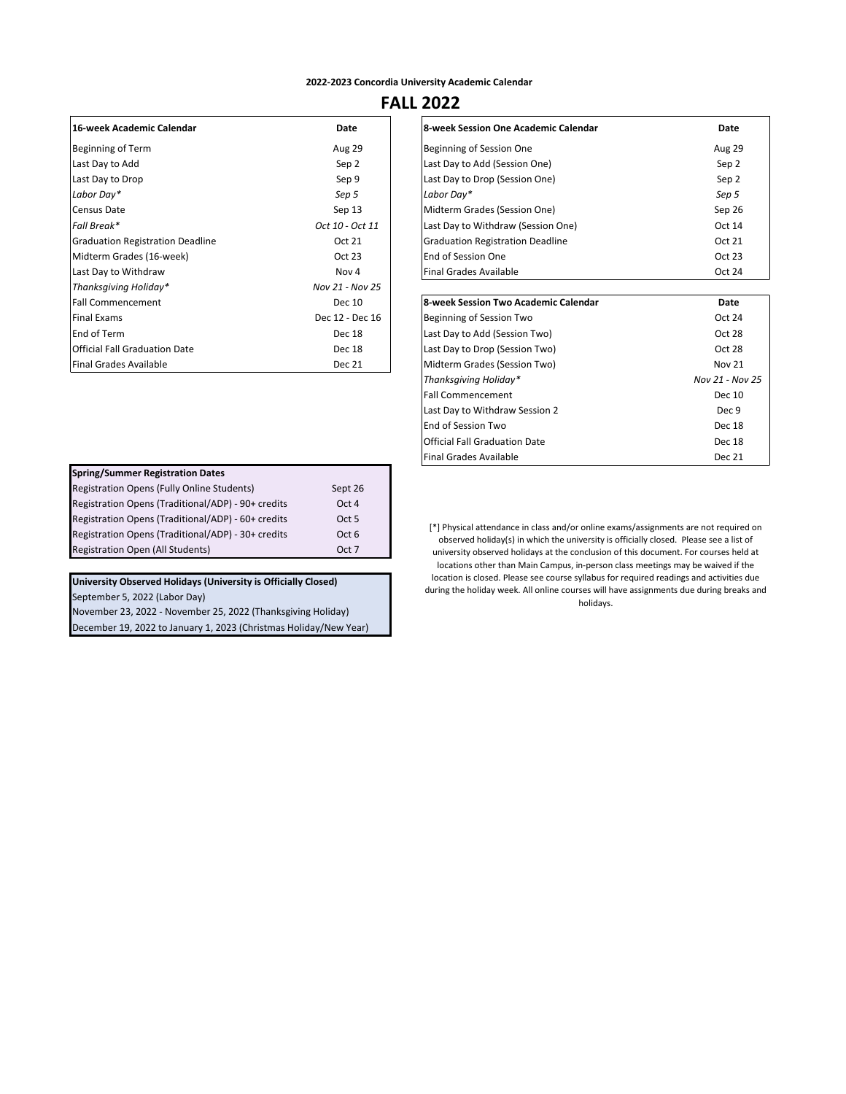#### **2022-2023 Concordia University Academic Calendar**

## **FALL 2022**

| 16-week Academic Calendar               | Date            |
|-----------------------------------------|-----------------|
| Beginning of Term                       | <b>Aug 29</b>   |
| Last Day to Add                         | Sep 2           |
| Last Day to Drop                        | Sep 9           |
| Labor Day*                              | Sep 5           |
| Census Date                             | Sep 13          |
| Fall Break*                             | Oct 10 - Oct 11 |
| <b>Graduation Registration Deadline</b> | Oct 21          |
| Midterm Grades (16-week)                | Oct 23          |
| Last Day to Withdraw                    | Nov 4           |
| Thanksgiving Holiday*                   | Nov 21 - Nov 25 |
| <b>Fall Commencement</b>                | Dec 10          |
| <b>Final Exams</b>                      | Dec 12 - Dec 16 |
| End of Term                             | Dec 18          |
| Official Fall Graduation Date           | Dec 18          |
| <b>Final Grades Available</b>           | Dec 21          |

| 16-week Academic Calendar               | Date             | 8-week Session One Academic Calendar | Date          |
|-----------------------------------------|------------------|--------------------------------------|---------------|
| Beginning of Term                       | <b>Aug 29</b>    | Beginning of Session One             | <b>Aug 29</b> |
| Last Day to Add                         | Sep 2            | Last Day to Add (Session One)        | Sep 2         |
| Last Day to Drop                        | Sep 9            | Last Day to Drop (Session One)       | Sep 2         |
| Labor Day*                              | Sep 5            | Labor Dav*                           | Sep 5         |
| Census Date                             | Sep 13           | Midterm Grades (Session One)         | Sep 26        |
| Fall Break*                             | Oct 10 - Oct 11  | Last Day to Withdraw (Session One)   | Oct 14        |
| <b>Graduation Registration Deadline</b> | Oct 21           | Graduation Registration Deadline     | Oct 21        |
| Midterm Grades (16-week)                | Oct 23           | lEnd of Session One                  | Oct 23        |
| Last Day to Withdraw                    | Nov <sub>4</sub> | lFinal Grades Available              | Oct 24        |
| Thanksaivina Holidav*                   | Nov 21 - Nov 25  |                                      |               |

| <b>Fall Commencement</b>      | Dec 10          | 8-week Session Two Academic Calendar | Date            |
|-------------------------------|-----------------|--------------------------------------|-----------------|
| <b>Final Exams</b>            | Dec 12 - Dec 16 | Beginning of Session Two             | Oct 24          |
| End of Term                   | Dec 18          | Last Day to Add (Session Two)        | Oct 28          |
| Official Fall Graduation Date | Dec 18          | Last Day to Drop (Session Two)       | Oct 28          |
| Final Grades Available        | <b>Dec 21</b>   | Midterm Grades (Session Two)         | <b>Nov 21</b>   |
|                               |                 | Thanksgiving Holiday*                | Nov 21 - Nov 25 |
|                               |                 | <b>Fall Commencement</b>             | Dec 10          |
|                               |                 | Last Day to Withdraw Session 2       | Dec 9           |
|                               |                 | End of Session Two                   | Dec 18          |
|                               |                 | <b>Official Fall Graduation Date</b> | Dec 18          |
|                               |                 | lFinal Grades Available              | <b>Dec 21</b>   |

| [*] Physical attendance in class and/or online exams/assignments are not required on    |
|-----------------------------------------------------------------------------------------|
| observed holiday(s) in which the university is officially closed. Please see a list of  |
| university observed holidays at the conclusion of this document. For courses held at    |
| locations other than Main Campus, in-person class meetings may be waived if the         |
| location is closed. Please see course syllabus for required readings and activities due |
| during the holiday week. All online courses will have assignments due during breaks and |
| holidavs.                                                                               |
|                                                                                         |

| <b>Spring/Summer Registration Dates</b>            |                  |
|----------------------------------------------------|------------------|
| Registration Opens (Fully Online Students)         | Sept 26          |
| Registration Opens (Traditional/ADP) - 90+ credits | Oct 4            |
| Registration Opens (Traditional/ADP) - 60+ credits | Oct <sub>5</sub> |
| Registration Opens (Traditional/ADP) - 30+ credits | Oct 6            |
| <b>Registration Open (All Students)</b>            | Oct 7            |

## **University Observed Holidays (University is Officially Closed)**

September 5, 2022 (Labor Day)

November 23, 2022 - November 25, 2022 (Thanksgiving Holiday) December 19, 2022 to January 1, 2023 (Christmas Holiday/New Year)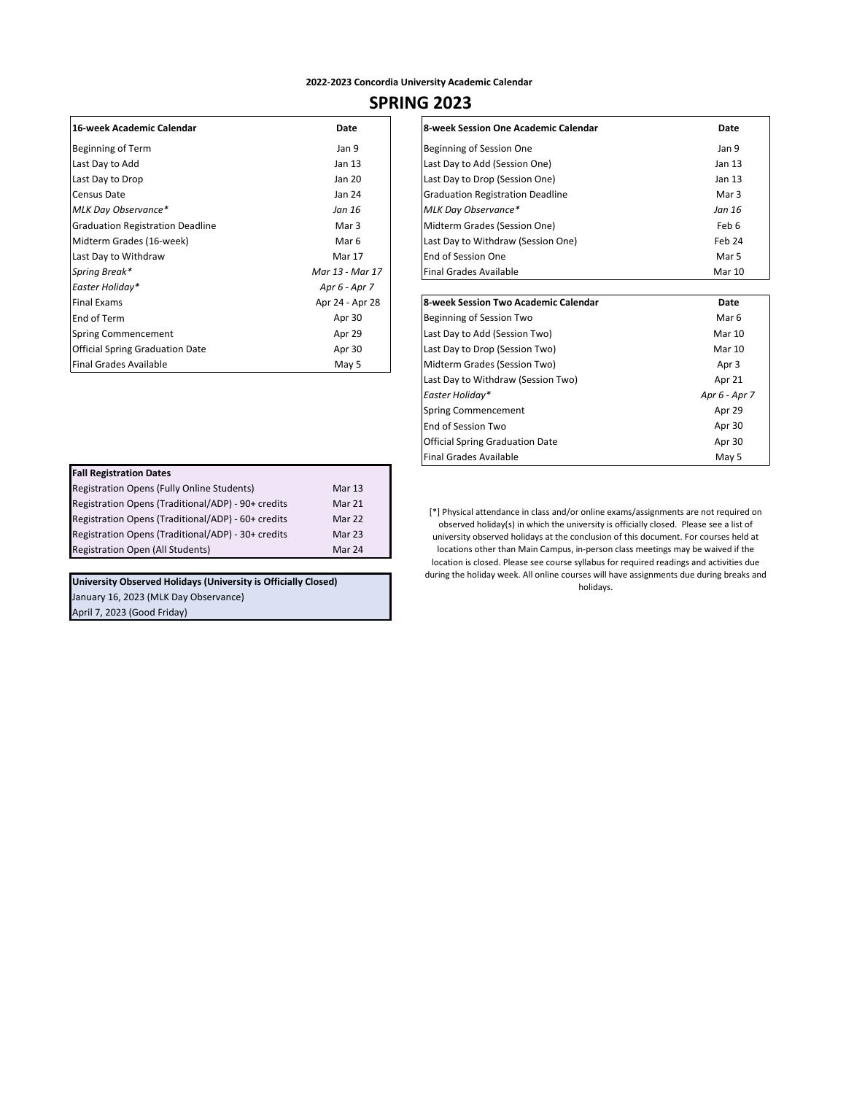#### **2022-2023 Concordia University Academic Calendar**

# **SPRING 2023**

| 16-week Academic Calendar               | Date            |
|-----------------------------------------|-----------------|
| Beginning of Term                       | Jan 9           |
| Last Day to Add                         | Jan 13          |
| Last Day to Drop                        | Jan 20          |
| Census Date                             | Jan 24          |
| MLK Day Observance*                     | Jan 16          |
| <b>Graduation Registration Deadline</b> | Mar 3           |
| Midterm Grades (16-week)                | Mar 6           |
| Last Day to Withdraw                    | Mar 17          |
| Spring Break*                           | Mar 13 - Mar 17 |
| Easter Holiday*                         | Apr 6 - Apr 7   |
| <b>Final Exams</b>                      | Apr 24 - Apr 28 |
| End of Term                             | Apr 30          |
| Spring Commencement                     | Apr 29          |
| <b>Official Spring Graduation Date</b>  | Apr 30          |
| <b>Final Grades Available</b>           | May 5           |

| 16-week Academic Calendar               | Date            | 8-week Session One Academic Calendar | Date   |
|-----------------------------------------|-----------------|--------------------------------------|--------|
| Beginning of Term                       | Jan 9           | Beginning of Session One             | Jan 9  |
| Last Day to Add                         | Jan 13          | Last Day to Add (Session One)        | Jan 13 |
| Last Day to Drop                        | Jan 20          | Last Day to Drop (Session One)       | Jan 13 |
| Census Date                             | Jan 24          | Graduation Registration Deadline     | Mar 3  |
| MLK Day Observance*                     | Jan 16          | MLK Day Observance*                  | Jan 16 |
| <b>Graduation Registration Deadline</b> | Mar 3           | Midterm Grades (Session One)         | Feb 6  |
| Midterm Grades (16-week)                | Mar 6           | Last Day to Withdraw (Session One)   | Feb 24 |
| Last Day to Withdraw                    | <b>Mar 17</b>   | <b>End of Session One</b>            | Mar 5  |
| Spring Break*                           | Mar 13 - Mar 17 | Final Grades Available               | Mar 10 |
| Eactor Holiday*                         | $Ans6$ Apr $7$  |                                      |        |

| Final Exams                     | Apr 24 - Apr 28 | 8-week Session Two Academic Calendar   | Date          |
|---------------------------------|-----------------|----------------------------------------|---------------|
| End of Term                     | Apr 30          | Beginning of Session Two               | Mar 6         |
| Spring Commencement             | Apr 29          | Last Day to Add (Session Two)          | Mar 10        |
| Official Spring Graduation Date | Apr 30          | Last Day to Drop (Session Two)         | Mar 10        |
| Final Grades Available          | May 5           | Midterm Grades (Session Two)           | Apr 3         |
|                                 |                 | Last Day to Withdraw (Session Two)     | Apr 21        |
|                                 |                 | Easter Holidav*                        | Apr 6 - Apr 7 |
|                                 |                 | Spring Commencement                    | Apr 29        |
|                                 |                 | End of Session Two                     | Apr 30        |
|                                 |                 | <b>Official Spring Graduation Date</b> | Apr 30        |
|                                 |                 | Final Grades Available                 | May 5         |

| [*] Physical attendance in class and/or online exams/assignments are not required on   |
|----------------------------------------------------------------------------------------|
| observed holiday(s) in which the university is officially closed. Please see a list of |
| university observed holidays at the conclusion of this document. For courses held at   |

locations other than Main Campus, in-person class meetings may be waived if the location is closed. Please see course syllabus for required readings and activities due

during the holiday week. All online courses will have assignments due during breaks and holidays.

| <b>Fall Registration Dates</b>                     |        |
|----------------------------------------------------|--------|
| Registration Opens (Fully Online Students)         | Mar 13 |
| Registration Opens (Traditional/ADP) - 90+ credits | Mar 21 |
| Registration Opens (Traditional/ADP) - 60+ credits | Mar 22 |
| Registration Opens (Traditional/ADP) - 30+ credits | Mar 23 |
| <b>Registration Open (All Students)</b>            | Mar 24 |

**University Observed Holidays (University is Officially Closed)**  January 16, 2023 (MLK Day Observance)

April 7, 2023 (Good Friday)